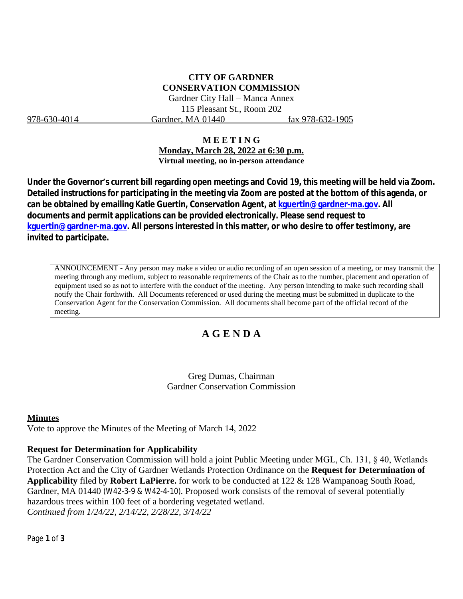## **CITY OF GARDNER CONSERVATION COMMISSION**

Gardner City Hall – Manca Annex 115 Pleasant St., Room 202 978-630-4014 Gardner, MA 01440 fax 978-632-1905

#### **M E E T I N G**

**Monday, March 28, 2022 at 6:30 p.m. Virtual meeting, no in-person attendance**

**Under the Governor's current bill regarding open meetings and Covid 19, this meeting will be held via Zoom. Detailed instructions for participating in the meeting via Zoom are posted at the bottom of this agenda, or can be obtained by emailing Katie Guertin, Conservation Agent, at [kguertin@gardner-ma.gov. All](mailto:kguertin@gardner-ma.gov)  [documents and permit applications can be provided electronically. Please send request to](mailto:kguertin@gardner-ma.gov)  [kguertin@gardner-ma.gov.](mailto:kguertin@gardner-ma.gov) All persons interested in this matter, or who desire to offer testimony, are invited to participate.**

ANNOUNCEMENT - Any person may make a video or audio recording of an open session of a meeting, or may transmit the meeting through any medium, subject to reasonable requirements of the Chair as to the number, placement and operation of equipment used so as not to interfere with the conduct of the meeting. Any person intending to make such recording shall notify the Chair forthwith. All Documents referenced or used during the meeting must be submitted in duplicate to the Conservation Agent for the Conservation Commission. All documents shall become part of the official record of the meeting.

# **A G E N D A**

Greg Dumas, Chairman Gardner Conservation Commission

#### **Minutes**

Vote to approve the Minutes of the Meeting of March 14, 2022

#### **Request for Determination for Applicability**

The Gardner Conservation Commission will hold a joint Public Meeting under MGL, Ch. 131, § 40, Wetlands Protection Act and the City of Gardner Wetlands Protection Ordinance on the **Request for Determination of Applicability** filed by **Robert LaPierre.** for work to be conducted at 122 & 128 Wampanoag South Road, Gardner, MA 01440 (W42-3-9 & W42-4-10). Proposed work consists of the removal of several potentially hazardous trees within 100 feet of a bordering vegetated wetland. *Continued from 1/24/22, 2/14/22, 2/28/22, 3/14/22*

Page **1** of **3**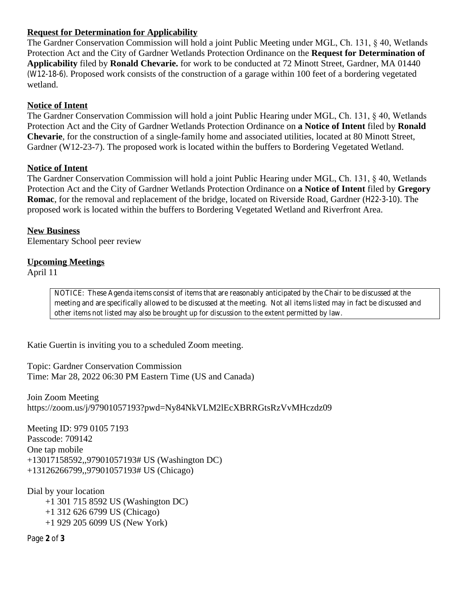### **Request for Determination for Applicability**

The Gardner Conservation Commission will hold a joint Public Meeting under MGL, Ch. 131, § 40, Wetlands Protection Act and the City of Gardner Wetlands Protection Ordinance on the **Request for Determination of Applicability** filed by **Ronald Chevarie.** for work to be conducted at 72 Minott Street, Gardner, MA 01440 (W12-18-6). Proposed work consists of the construction of a garage within 100 feet of a bordering vegetated wetland.

### **Notice of Intent**

The Gardner Conservation Commission will hold a joint Public Hearing under MGL, Ch. 131, § 40, Wetlands Protection Act and the City of Gardner Wetlands Protection Ordinance on **a Notice of Intent** filed by **Ronald Chevarie**, for the construction of a single-family home and associated utilities, located at 80 Minott Street, Gardner (W12-23-7). The proposed work is located within the buffers to Bordering Vegetated Wetland.

### **Notice of Intent**

The Gardner Conservation Commission will hold a joint Public Hearing under MGL, Ch. 131, § 40, Wetlands Protection Act and the City of Gardner Wetlands Protection Ordinance on **a Notice of Intent** filed by **Gregory Romac**, for the removal and replacement of the bridge, located on Riverside Road, Gardner (H22-3-10). The proposed work is located within the buffers to Bordering Vegetated Wetland and Riverfront Area.

**New Business** Elementary School peer review

### **Upcoming Meetings**

April 11

*NOTICE: These Agenda items consist of items that are reasonably anticipated by the Chair to be discussed at the meeting and are specifically allowed to be discussed at the meeting. Not all items listed may in fact be discussed and other items not listed may also be brought up for discussion to the extent permitted by law.*

Katie Guertin is inviting you to a scheduled Zoom meeting.

Topic: Gardner Conservation Commission Time: Mar 28, 2022 06:30 PM Eastern Time (US and Canada)

Join Zoom Meeting https://zoom.us/j/97901057193?pwd=Ny84NkVLM2lEcXBRRGtsRzVvMHczdz09

Meeting ID: 979 0105 7193 Passcode: 709142 One tap mobile +13017158592,,97901057193# US (Washington DC) +13126266799,,97901057193# US (Chicago)

Dial by your location +1 301 715 8592 US (Washington DC) +1 312 626 6799 US (Chicago) +1 929 205 6099 US (New York)

Page **2** of **3**